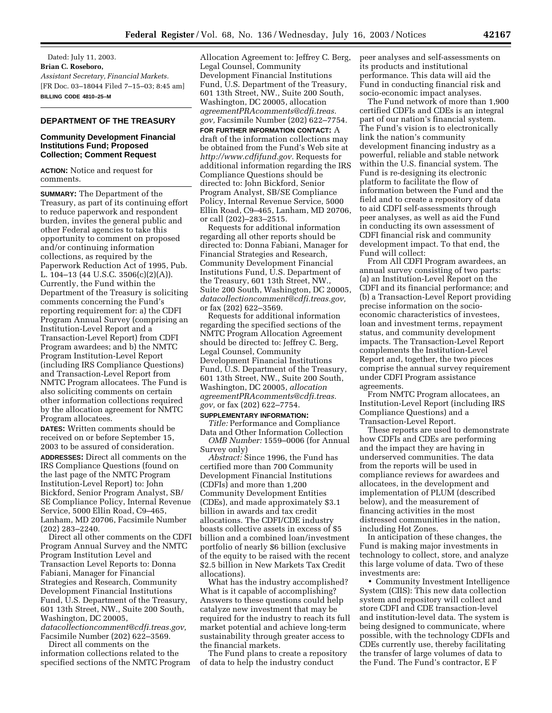Dated: July 11, 2003. **Brian C. Roseboro,**  *Assistant Secretary, Financial Markets.* [FR Doc. 03–18044 Filed 7–15–03; 8:45 am] **BILLING CODE 4810–25–M**

### **DEPARTMENT OF THE TREASURY**

## **Community Development Financial Institutions Fund; Proposed Collection; Comment Request**

**ACTION:** Notice and request for comments.

**SUMMARY:** The Department of the Treasury, as part of its continuing effort to reduce paperwork and respondent burden, invites the general public and other Federal agencies to take this opportunity to comment on proposed and/or continuing information collections, as required by the Paperwork Reduction Act of 1995, Pub. L. 104–13 (44 U.S.C. 3506(c)(2)(A)). Currently, the Fund within the Department of the Treasury is soliciting comments concerning the Fund's reporting requirement for: a) the CDFI Program Annual Survey (comprising an Institution-Level Report and a Transaction-Level Report) from CDFI Program awardees; and b) the NMTC Program Institution-Level Report (including IRS Compliance Questions) and Transaction-Level Report from NMTC Program allocatees. The Fund is also soliciting comments on certain other information collections required by the allocation agreement for NMTC Program allocatees.

**DATES:** Written comments should be received on or before September 15, 2003 to be assured of consideration. **ADDRESSES:** Direct all comments on the IRS Compliance Questions (found on the last page of the NMTC Program Institution-Level Report) to: John Bickford, Senior Program Analyst, SB/ SE Compliance Policy, Internal Revenue Service, 5000 Ellin Road, C9–465, Lanham, MD 20706, Facsimile Number (202) 283–2240.

Direct all other comments on the CDFI Program Annual Survey and the NMTC Program Institution Level and Transaction Level Reports to: Donna Fabiani, Manager for Financial Strategies and Research, Community Development Financial Institutions Fund, U.S. Department of the Treasury, 601 13th Street, NW., Suite 200 South, Washington, DC 20005, *datacollectioncomment@cdfi.treas.gov,* Facsimile Number (202) 622–3569.

Direct all comments on the information collections related to the specified sections of the NMTC Program Allocation Agreement to: Jeffrey C. Berg, Legal Counsel, Community Development Financial Institutions Fund, U.S. Department of the Treasury, 601 13th Street, NW., Suite 200 South, Washington, DC 20005, allocation *agreementPRAcomments@cdfi.treas. gov,* Facsimile Number (202) 622–7754.

**FOR FURTHER INFORMATION CONTACT:** A draft of the information collections may be obtained from the Fund's Web site at *http://www.cdfifund.gov.* Requests for additional information regarding the IRS Compliance Questions should be directed to: John Bickford, Senior Program Analyst, SB/SE Compliance Policy, Internal Revenue Service, 5000 Ellin Road, C9–465, Lanham, MD 20706, or call (202)–283–2515.

Requests for additional information regarding all other reports should be directed to: Donna Fabiani, Manager for Financial Strategies and Research, Community Development Financial Institutions Fund, U.S. Department of the Treasury, 601 13th Street, NW., Suite 200 South, Washington, DC 20005, *datacollectioncomment@cdfi.treas.gov,* or fax (202) 622–3569.

Requests for additional information regarding the specified sections of the NMTC Program Allocation Agreement should be directed to: Jeffrey C. Berg, Legal Counsel, Community Development Financial Institutions Fund, U.S. Department of the Treasury, 601 13th Street, NW., Suite 200 South, Washington, DC 20005, *allocation agreementPRAcomments@cdfi.treas. gov,* or fax (202) 622–7754.

### **SUPPLEMENTARY INFORMATION:**

*Title:* Performance and Compliance Data and Other Information Collection *OMB Number:* 1559–0006 (for Annual Survey only)

*Abstract:* Since 1996, the Fund has certified more than 700 Community Development Financial Institutions (CDFIs) and more than 1,200 Community Development Entities (CDEs), and made approximately \$3.1 billion in awards and tax credit allocations. The CDFI/CDE industry boasts collective assets in excess of \$5 billion and a combined loan/investment portfolio of nearly \$6 billion (exclusive of the equity to be raised with the recent \$2.5 billion in New Markets Tax Credit allocations).

What has the industry accomplished? What is it capable of accomplishing? Answers to these questions could help catalyze new investment that may be required for the industry to reach its full market potential and achieve long-term sustainability through greater access to the financial markets.

The Fund plans to create a repository of data to help the industry conduct

peer analyses and self-assessments on its products and institutional performance. This data will aid the Fund in conducting financial risk and socio-economic impact analyses.

The Fund network of more than 1,900 certified CDFIs and CDEs is an integral part of our nation's financial system. The Fund's vision is to electronically link the nation's community development financing industry as a powerful, reliable and stable network within the U.S. financial system. The Fund is re-designing its electronic platform to facilitate the flow of information between the Fund and the field and to create a repository of data to aid CDFI self-assessments through peer analyses, as well as aid the Fund in conducting its own assessment of CDFI financial risk and community development impact. To that end, the Fund will collect:

From All CDFI Program awardees, an annual survey consisting of two parts: (a) an Institution-Level Report on the CDFI and its financial performance; and (b) a Transaction-Level Report providing precise information on the socioeconomic characteristics of investees, loan and investment terms, repayment status, and community development impacts. The Transaction-Level Report complements the Institution-Level Report and, together, the two pieces comprise the annual survey requirement under CDFI Program assistance agreements.

From NMTC Program allocatees, an Institution-Level Report (including IRS Compliance Questions) and a Transaction-Level Report.

These reports are used to demonstrate how CDFIs and CDEs are performing and the impact they are having in underserved communities. The data from the reports will be used in compliance reviews for awardees and allocatees, in the development and implementation of PLUM (described below), and the measurement of financing activities in the most distressed communities in the nation, including Hot Zones.

In anticipation of these changes, the Fund is making major investments in technology to collect, store, and analyze this large volume of data. Two of these investments are:

• Community Investment Intelligence System (CIIS): This new data collection system and repository will collect and store CDFI and CDE transaction-level and institution-level data. The system is being designed to communicate, where possible, with the technology CDFIs and CDEs currently use, thereby facilitating the transfer of large volumes of data to the Fund. The Fund's contractor, E F